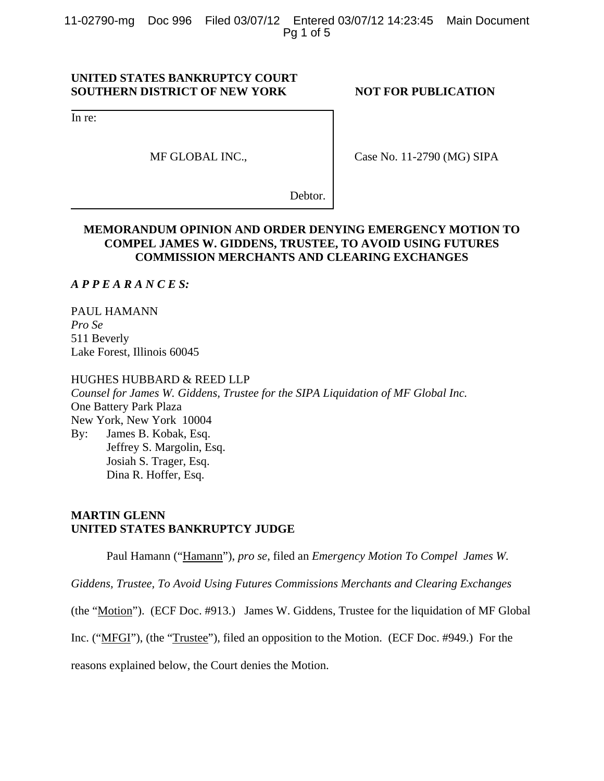11-02790-mg Doc 996 Filed 03/07/12 Entered 03/07/12 14:23:45 Main Document Pg 1 of 5

# **UNITED STATES BANKRUPTCY COURT SOUTHERN DISTRICT OF NEW YORK NOT FOR PUBLICATION**

In re:

MF GLOBAL INC.,

Case No. 11-2790 (MG) SIPA

Debtor.

# **MEMORANDUM OPINION AND ORDER DENYING EMERGENCY MOTION TO COMPEL JAMES W. GIDDENS, TRUSTEE, TO AVOID USING FUTURES COMMISSION MERCHANTS AND CLEARING EXCHANGES**

## *A P P E A R A N C E S:*

PAUL HAMANN *Pro Se* 511 Beverly Lake Forest, Illinois 60045

### HUGHES HUBBARD & REED LLP

*Counsel for James W. Giddens, Trustee for the SIPA Liquidation of MF Global Inc.*  One Battery Park Plaza New York, New York 10004 By: James B. Kobak, Esq. Jeffrey S. Margolin, Esq. Josiah S. Trager, Esq. Dina R. Hoffer, Esq.

# **MARTIN GLENN UNITED STATES BANKRUPTCY JUDGE**

Paul Hamann ("Hamann"), *pro se*, filed an *Emergency Motion To Compel James W.* 

*Giddens, Trustee, To Avoid Using Futures Commissions Merchants and Clearing Exchanges*

(the "Motion"). (ECF Doc. #913.) James W. Giddens, Trustee for the liquidation of MF Global

Inc. ("MFGI"), (the "Trustee"), filed an opposition to the Motion. (ECF Doc. #949.) For the

reasons explained below, the Court denies the Motion.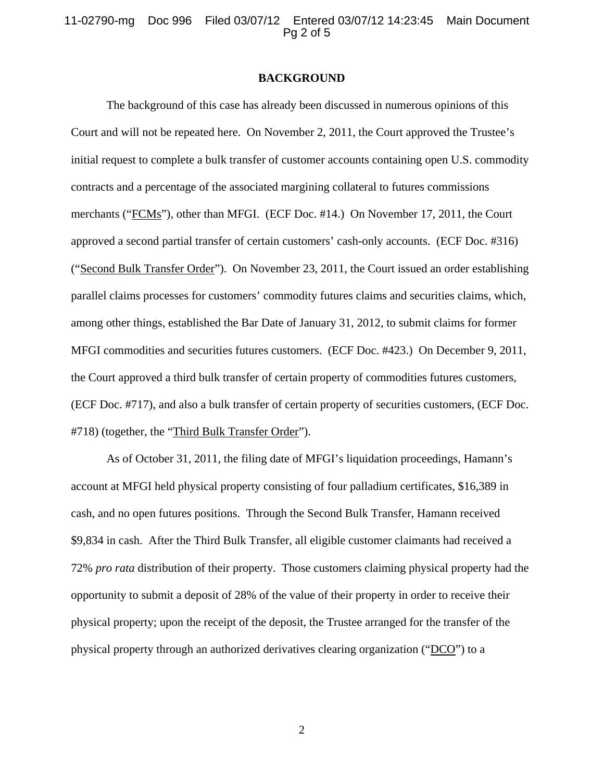11-02790-mg Doc 996 Filed 03/07/12 Entered 03/07/12 14:23:45 Main Document Pg 2 of 5

### **BACKGROUND**

The background of this case has already been discussed in numerous opinions of this Court and will not be repeated here. On November 2, 2011, the Court approved the Trustee's initial request to complete a bulk transfer of customer accounts containing open U.S. commodity contracts and a percentage of the associated margining collateral to futures commissions merchants ("FCMs"), other than MFGI. (ECF Doc. #14.) On November 17, 2011, the Court approved a second partial transfer of certain customers' cash-only accounts. (ECF Doc. #316) ("Second Bulk Transfer Order"). On November 23, 2011, the Court issued an order establishing parallel claims processes for customers' commodity futures claims and securities claims, which, among other things, established the Bar Date of January 31, 2012, to submit claims for former MFGI commodities and securities futures customers. (ECF Doc. #423.) On December 9, 2011, the Court approved a third bulk transfer of certain property of commodities futures customers, (ECF Doc. #717), and also a bulk transfer of certain property of securities customers, (ECF Doc. #718) (together, the "Third Bulk Transfer Order").

As of October 31, 2011, the filing date of MFGI's liquidation proceedings, Hamann's account at MFGI held physical property consisting of four palladium certificates, \$16,389 in cash, and no open futures positions. Through the Second Bulk Transfer, Hamann received \$9,834 in cash. After the Third Bulk Transfer, all eligible customer claimants had received a 72% *pro rata* distribution of their property. Those customers claiming physical property had the opportunity to submit a deposit of 28% of the value of their property in order to receive their physical property; upon the receipt of the deposit, the Trustee arranged for the transfer of the physical property through an authorized derivatives clearing organization ("DCO") to a

2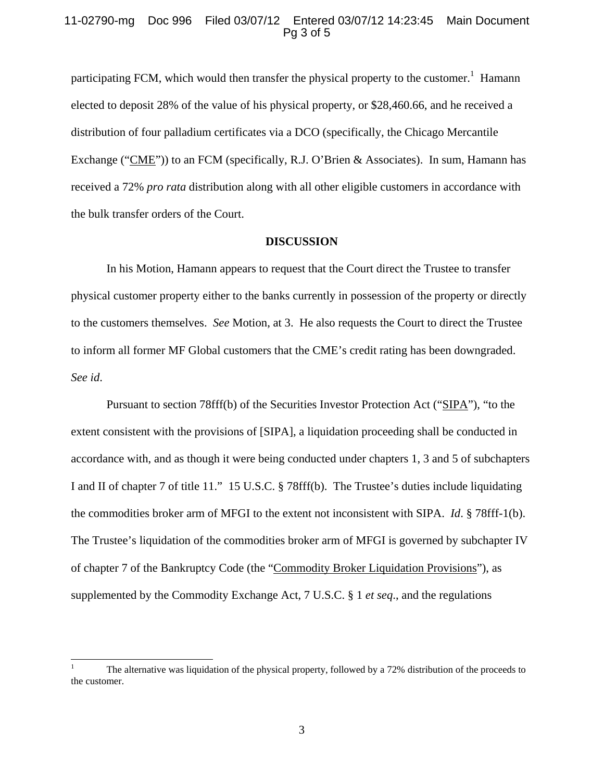## 11-02790-mg Doc 996 Filed 03/07/12 Entered 03/07/12 14:23:45 Main Document Pg 3 of 5

participating FCM, which would then transfer the physical property to the customer.<sup>1</sup> Hamann elected to deposit 28% of the value of his physical property, or \$28,460.66, and he received a distribution of four palladium certificates via a DCO (specifically, the Chicago Mercantile Exchange ("CME")) to an FCM (specifically, R.J. O'Brien & Associates). In sum, Hamann has received a 72% *pro rata* distribution along with all other eligible customers in accordance with the bulk transfer orders of the Court.

### **DISCUSSION**

In his Motion, Hamann appears to request that the Court direct the Trustee to transfer physical customer property either to the banks currently in possession of the property or directly to the customers themselves. *See* Motion, at 3. He also requests the Court to direct the Trustee to inform all former MF Global customers that the CME's credit rating has been downgraded. *See id*.

Pursuant to section 78fff(b) of the Securities Investor Protection Act ("SIPA"), "to the extent consistent with the provisions of [SIPA], a liquidation proceeding shall be conducted in accordance with, and as though it were being conducted under chapters 1, 3 and 5 of subchapters I and II of chapter 7 of title 11." 15 U.S.C. § 78fff(b). The Trustee's duties include liquidating the commodities broker arm of MFGI to the extent not inconsistent with SIPA. *Id*. § 78fff-1(b). The Trustee's liquidation of the commodities broker arm of MFGI is governed by subchapter IV of chapter 7 of the Bankruptcy Code (the "Commodity Broker Liquidation Provisions"), as supplemented by the Commodity Exchange Act, 7 U.S.C. § 1 *et seq*., and the regulations

<sup>|&</sup>lt;br>|<br>| The alternative was liquidation of the physical property, followed by a 72% distribution of the proceeds to the customer.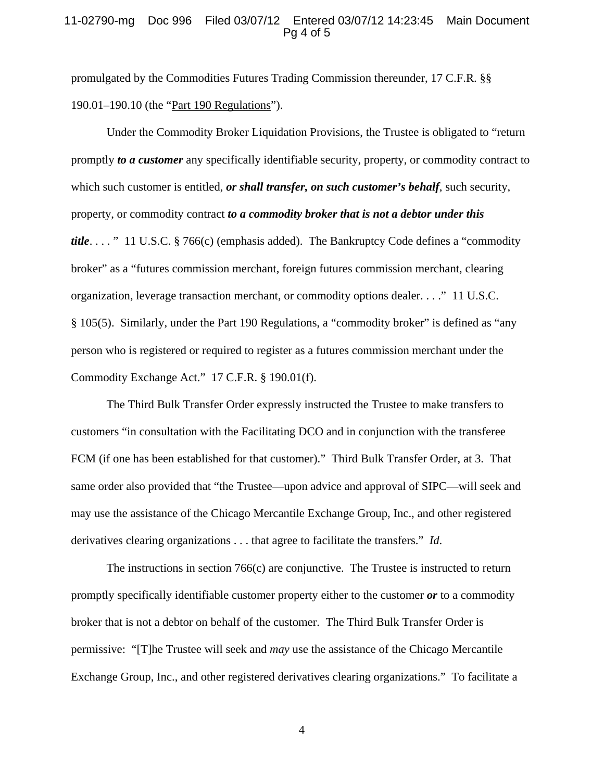## 11-02790-mg Doc 996 Filed 03/07/12 Entered 03/07/12 14:23:45 Main Document Pg 4 of 5

promulgated by the Commodities Futures Trading Commission thereunder, 17 C.F.R. §§ 190.01–190.10 (the "Part 190 Regulations").

Under the Commodity Broker Liquidation Provisions, the Trustee is obligated to "return promptly *to a customer* any specifically identifiable security, property, or commodity contract to which such customer is entitled, *or shall transfer, on such customer's behalf*, such security, property, or commodity contract *to a commodity broker that is not a debtor under this title*. . . . " 11 U.S.C. § 766(c) (emphasis added). The Bankruptcy Code defines a "commodity broker" as a "futures commission merchant, foreign futures commission merchant, clearing organization, leverage transaction merchant, or commodity options dealer. . . ." 11 U.S.C. § 105(5). Similarly, under the Part 190 Regulations, a "commodity broker" is defined as "any person who is registered or required to register as a futures commission merchant under the Commodity Exchange Act." 17 C.F.R. § 190.01(f).

The Third Bulk Transfer Order expressly instructed the Trustee to make transfers to customers "in consultation with the Facilitating DCO and in conjunction with the transferee FCM (if one has been established for that customer)." Third Bulk Transfer Order, at 3. That same order also provided that "the Trustee—upon advice and approval of SIPC—will seek and may use the assistance of the Chicago Mercantile Exchange Group, Inc., and other registered derivatives clearing organizations . . . that agree to facilitate the transfers." *Id*.

The instructions in section 766(c) are conjunctive. The Trustee is instructed to return promptly specifically identifiable customer property either to the customer *or* to a commodity broker that is not a debtor on behalf of the customer. The Third Bulk Transfer Order is permissive: "[T]he Trustee will seek and *may* use the assistance of the Chicago Mercantile Exchange Group, Inc., and other registered derivatives clearing organizations." To facilitate a

4